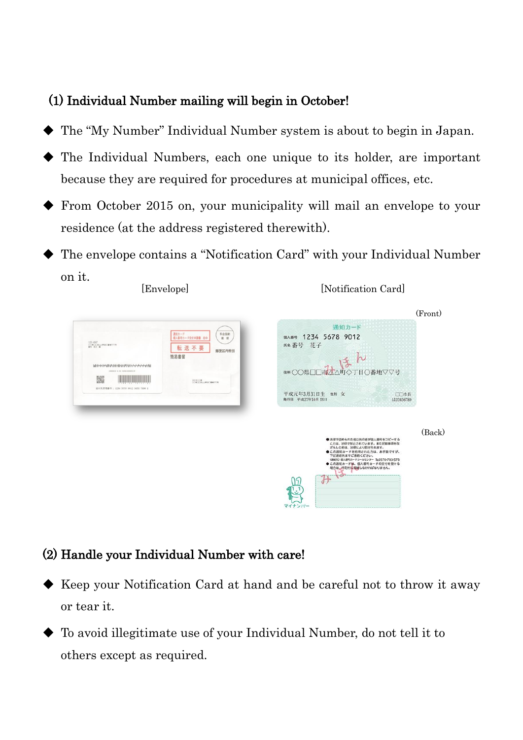## (1) Individual Number mailing will begin in October!

- The "My Number" Individual Number system is about to begin in Japan.
- The Individual Numbers, each one unique to its holder, are important because they are required for procedures at municipal offices, etc.
- From October 2015 on, your municipality will mail an envelope to your residence (at the address registered therewith).
- The envelope contains a "Notification Card" with your Individual Number on it. [Notification Card] [Envelope]



## (2) Handle your Individual Number with care!

- Keep your Notification Card at hand and be careful not to throw it away or tear it.
- To avoid illegitimate use of your Individual Number, do not tell it to others except as required.